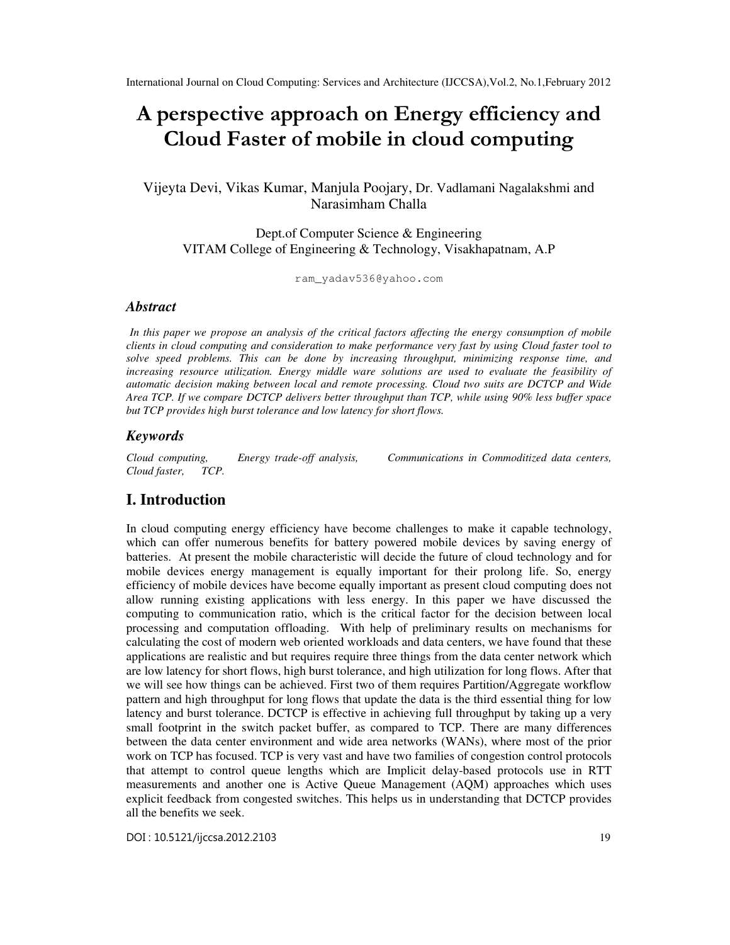# A perspective approach on Energy efficiency and Cloud Faster of mobile in cloud computing

Vijeyta Devi, Vikas Kumar, Manjula Poojary, Dr. Vadlamani Nagalakshmi and Narasimham Challa

Dept.of Computer Science & Engineering VITAM College of Engineering & Technology, Visakhapatnam, A.P

ram\_yadav536@yahoo.com

#### *Abstract*

*In this paper we propose an analysis of the critical factors affecting the energy consumption of mobile clients in cloud computing and consideration to make performance very fast by using Cloud faster tool to solve speed problems. This can be done by increasing throughput, minimizing response time, and increasing resource utilization. Energy middle ware solutions are used to evaluate the feasibility of automatic decision making between local and remote processing. Cloud two suits are DCTCP and Wide Area TCP. If we compare DCTCP delivers better throughput than TCP, while using 90% less buffer space but TCP provides high burst tolerance and low latency for short flows.*

#### *Keywords*

*Cloud computing, Energy trade-off analysis, Communications in Commoditized data centers, Cloud faster, TCP.* 

# **I. Introduction**

In cloud computing energy efficiency have become challenges to make it capable technology, which can offer numerous benefits for battery powered mobile devices by saving energy of batteries. At present the mobile characteristic will decide the future of cloud technology and for mobile devices energy management is equally important for their prolong life. So, energy efficiency of mobile devices have become equally important as present cloud computing does not allow running existing applications with less energy. In this paper we have discussed the computing to communication ratio, which is the critical factor for the decision between local processing and computation offloading. With help of preliminary results on mechanisms for calculating the cost of modern web oriented workloads and data centers, we have found that these applications are realistic and but requires require three things from the data center network which are low latency for short flows, high burst tolerance, and high utilization for long flows. After that we will see how things can be achieved. First two of them requires Partition/Aggregate workflow pattern and high throughput for long flows that update the data is the third essential thing for low latency and burst tolerance. DCTCP is effective in achieving full throughput by taking up a very small footprint in the switch packet buffer, as compared to TCP. There are many differences between the data center environment and wide area networks (WANs), where most of the prior work on TCP has focused. TCP is very vast and have two families of congestion control protocols that attempt to control queue lengths which are Implicit delay-based protocols use in RTT measurements and another one is Active Queue Management (AQM) approaches which uses explicit feedback from congested switches. This helps us in understanding that DCTCP provides all the benefits we seek.

DOI : 10.5121/ijccsa.2012.2103 19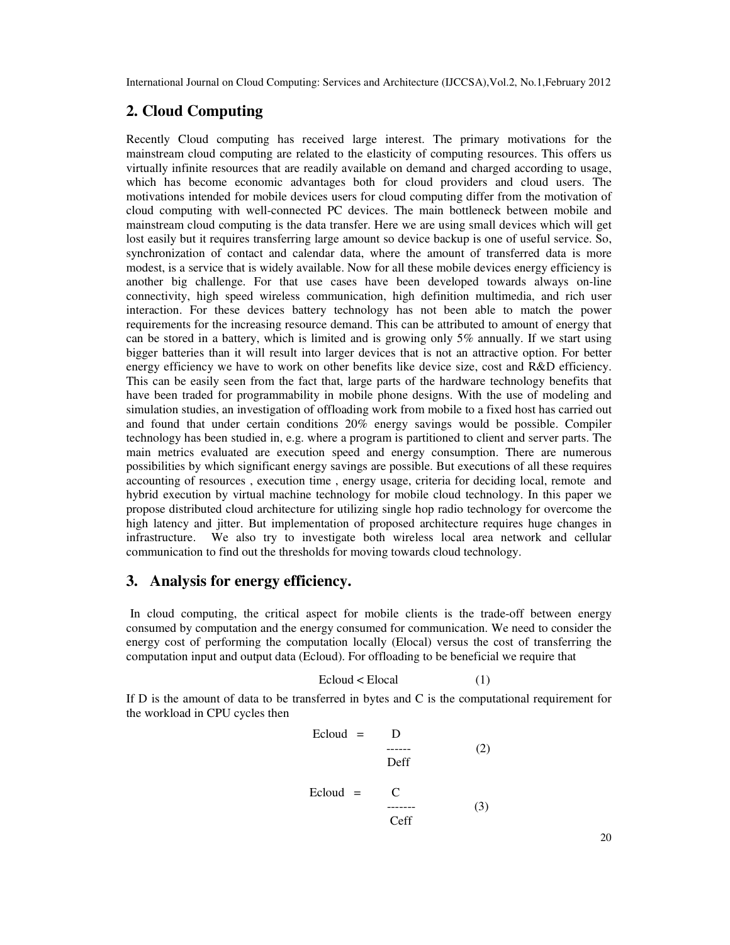# **2. Cloud Computing**

Recently Cloud computing has received large interest. The primary motivations for the mainstream cloud computing are related to the elasticity of computing resources. This offers us virtually infinite resources that are readily available on demand and charged according to usage, which has become economic advantages both for cloud providers and cloud users. The motivations intended for mobile devices users for cloud computing differ from the motivation of cloud computing with well-connected PC devices. The main bottleneck between mobile and mainstream cloud computing is the data transfer. Here we are using small devices which will get lost easily but it requires transferring large amount so device backup is one of useful service. So, synchronization of contact and calendar data, where the amount of transferred data is more modest, is a service that is widely available. Now for all these mobile devices energy efficiency is another big challenge. For that use cases have been developed towards always on-line connectivity, high speed wireless communication, high definition multimedia, and rich user interaction. For these devices battery technology has not been able to match the power requirements for the increasing resource demand. This can be attributed to amount of energy that can be stored in a battery, which is limited and is growing only 5% annually. If we start using bigger batteries than it will result into larger devices that is not an attractive option. For better energy efficiency we have to work on other benefits like device size, cost and R&D efficiency. This can be easily seen from the fact that, large parts of the hardware technology benefits that have been traded for programmability in mobile phone designs. With the use of modeling and simulation studies, an investigation of offloading work from mobile to a fixed host has carried out and found that under certain conditions 20% energy savings would be possible. Compiler technology has been studied in, e.g. where a program is partitioned to client and server parts. The main metrics evaluated are execution speed and energy consumption. There are numerous possibilities by which significant energy savings are possible. But executions of all these requires accounting of resources , execution time , energy usage, criteria for deciding local, remote and hybrid execution by virtual machine technology for mobile cloud technology. In this paper we propose distributed cloud architecture for utilizing single hop radio technology for overcome the high latency and jitter. But implementation of proposed architecture requires huge changes in infrastructure. We also try to investigate both wireless local area network and cellular communication to find out the thresholds for moving towards cloud technology.

# **3. Analysis for energy efficiency.**

In cloud computing, the critical aspect for mobile clients is the trade-off between energy consumed by computation and the energy consumed for communication. We need to consider the energy cost of performing the computation locally (Elocal) versus the cost of transferring the computation input and output data (Ecloud). For offloading to be beneficial we require that

$$
Ecloud < Elocal \tag{1}
$$

If D is the amount of data to be transferred in bytes and C is the computational requirement for the workload in CPU cycles then

$$
Ecloud = D
$$
\n
$$
J = 2
$$
\n
$$
Deff
$$
\n
$$
Ecloud = C
$$
\n
$$
J = 2
$$
\n
$$
J = 2
$$
\n
$$
Ceff
$$
\n
$$
(3)
$$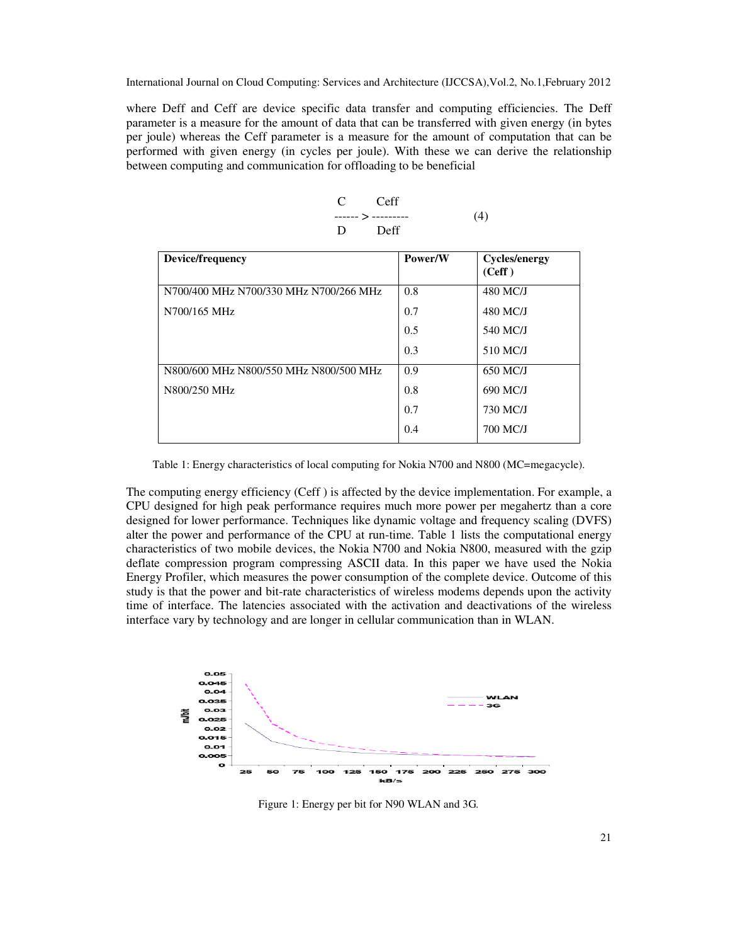where Deff and Ceff are device specific data transfer and computing efficiencies. The Deff parameter is a measure for the amount of data that can be transferred with given energy (in bytes per joule) whereas the Ceff parameter is a measure for the amount of computation that can be performed with given energy (in cycles per joule). With these we can derive the relationship between computing and communication for offloading to be beneficial

|                     | C Ceff |     |
|---------------------|--------|-----|
| ------- > --------- |        | (4) |
|                     | D Deff |     |

| Device/frequency                       | Power/W | <b>Cycles/energy</b><br>(Ceff) |
|----------------------------------------|---------|--------------------------------|
| N700/400 MHz N700/330 MHz N700/266 MHz | 0.8     | 480 MC/J                       |
| N700/165 MHz                           | 0.7     | 480 MC/J                       |
|                                        | 0.5     | 540 MC/J                       |
|                                        | 0.3     | 510 MC/J                       |
| N800/600 MHz N800/550 MHz N800/500 MHz | 0.9     | 650 MC/J                       |
| N800/250 MHz                           | 0.8     | 690 MC/J                       |
|                                        | 0.7     | 730 MC/J                       |
|                                        | 0.4     | 700 MC/J                       |

Table 1: Energy characteristics of local computing for Nokia N700 and N800 (MC=megacycle).

The computing energy efficiency (Ceff ) is affected by the device implementation. For example, a CPU designed for high peak performance requires much more power per megahertz than a core designed for lower performance. Techniques like dynamic voltage and frequency scaling (DVFS) alter the power and performance of the CPU at run-time. Table 1 lists the computational energy characteristics of two mobile devices, the Nokia N700 and Nokia N800, measured with the gzip deflate compression program compressing ASCII data. In this paper we have used the Nokia Energy Profiler, which measures the power consumption of the complete device. Outcome of this study is that the power and bit-rate characteristics of wireless modems depends upon the activity time of interface. The latencies associated with the activation and deactivations of the wireless interface vary by technology and are longer in cellular communication than in WLAN.



Figure 1: Energy per bit for N90 WLAN and 3G*.*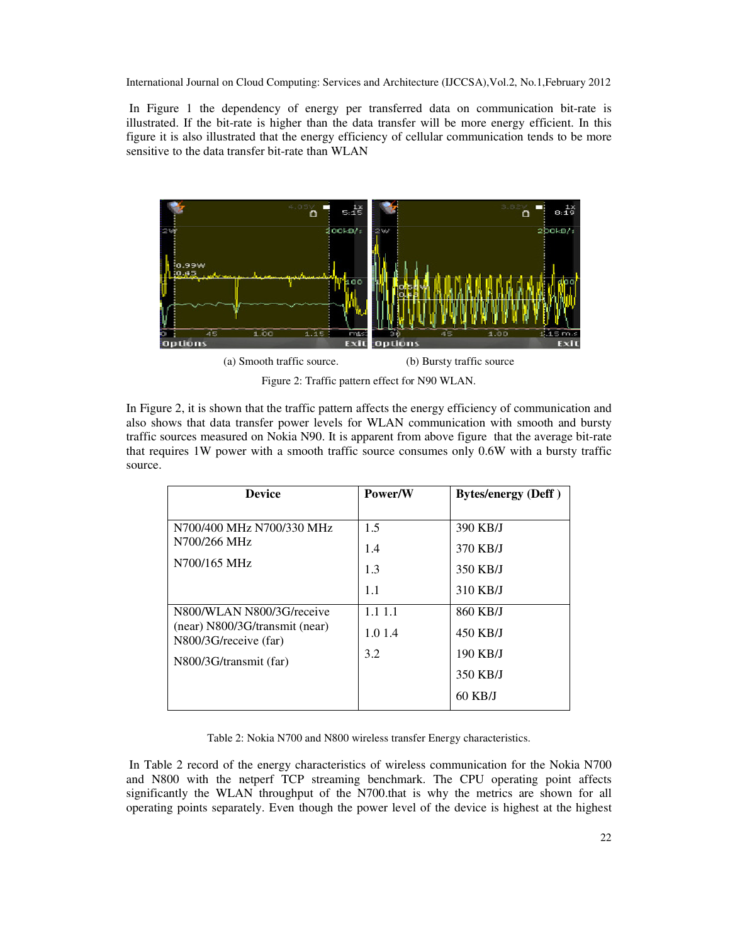In Figure 1 the dependency of energy per transferred data on communication bit-rate is illustrated. If the bit-rate is higher than the data transfer will be more energy efficient. In this figure it is also illustrated that the energy efficiency of cellular communication tends to be more sensitive to the data transfer bit-rate than WLAN



Figure 2: Traffic pattern effect for N90 WLAN.

In Figure 2, it is shown that the traffic pattern affects the energy efficiency of communication and also shows that data transfer power levels for WLAN communication with smooth and bursty traffic sources measured on Nokia N90. It is apparent from above figure that the average bit-rate that requires 1W power with a smooth traffic source consumes only 0.6W with a bursty traffic source.

| <b>Device</b>                                                                                                    | Power/W                  | <b>Bytes/energy (Deff)</b>                              |
|------------------------------------------------------------------------------------------------------------------|--------------------------|---------------------------------------------------------|
| N700/400 MHz N700/330 MHz<br>N700/266 MHz<br>N700/165 MHz                                                        | 1.5<br>1.4<br>1.3<br>1.1 | 390 KB/J<br>370 KB/J<br>350 KB/J<br>310 KB/J            |
| N800/WLAN N800/3G/receive<br>$(near)$ N800/3G/transmit (near)<br>N800/3G/receive (far)<br>N800/3G/transmit (far) | 1.11.1<br>1.0 1.4<br>3.2 | 860 KB/J<br>450 KB/J<br>190 KB/J<br>350 KB/J<br>60 KB/J |

Table 2: Nokia N700 and N800 wireless transfer Energy characteristics.

 In Table 2 record of the energy characteristics of wireless communication for the Nokia N700 and N800 with the netperf TCP streaming benchmark. The CPU operating point affects significantly the WLAN throughput of the N700.that is why the metrics are shown for all operating points separately. Even though the power level of the device is highest at the highest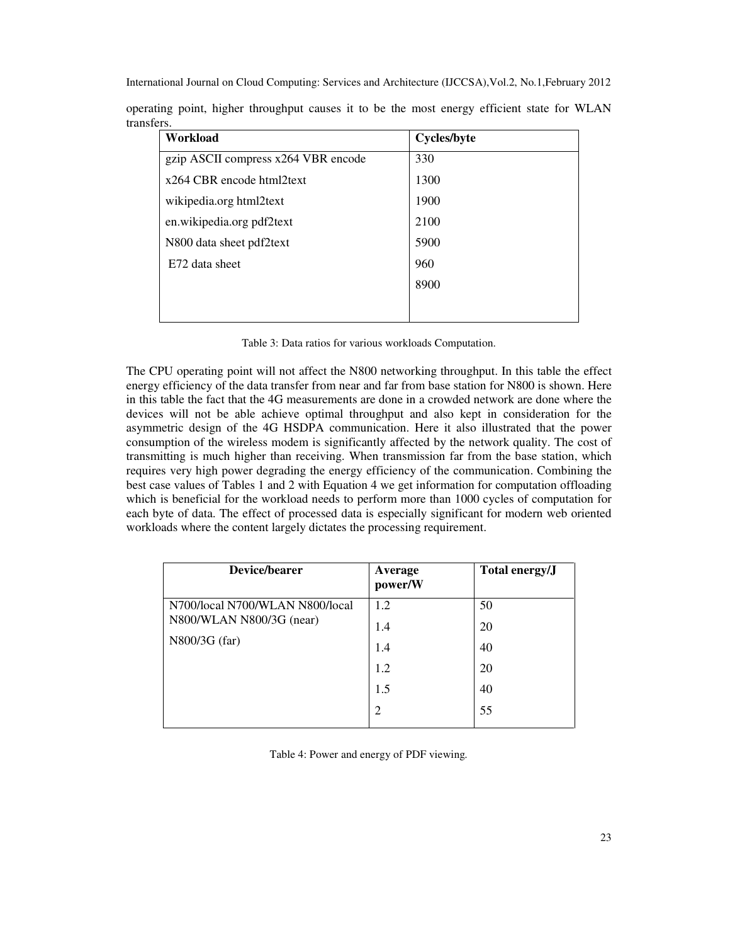| Workload                            | Cycles/byte |  |
|-------------------------------------|-------------|--|
| gzip ASCII compress x264 VBR encode | 330         |  |
| x264 CBR encode html2text           | 1300        |  |
| wikipedia.org html2text             | 1900        |  |
| en.wikipedia.org pdf2text           | 2100        |  |
| N800 data sheet pdf2text            | 5900        |  |
| E72 data sheet                      | 960         |  |
|                                     | 8900        |  |
|                                     |             |  |
|                                     |             |  |

operating point, higher throughput causes it to be the most energy efficient state for WLAN transfers.

Table 3: Data ratios for various workloads Computation.

The CPU operating point will not affect the N800 networking throughput. In this table the effect energy efficiency of the data transfer from near and far from base station for N800 is shown. Here in this table the fact that the 4G measurements are done in a crowded network are done where the devices will not be able achieve optimal throughput and also kept in consideration for the asymmetric design of the 4G HSDPA communication. Here it also illustrated that the power consumption of the wireless modem is significantly affected by the network quality. The cost of transmitting is much higher than receiving. When transmission far from the base station, which requires very high power degrading the energy efficiency of the communication. Combining the best case values of Tables 1 and 2 with Equation 4 we get information for computation offloading which is beneficial for the workload needs to perform more than 1000 cycles of computation for each byte of data. The effect of processed data is especially significant for modern web oriented workloads where the content largely dictates the processing requirement.

| Device/bearer                   | Average<br>power/W | Total energy/J |
|---------------------------------|--------------------|----------------|
| N700/local N700/WLAN N800/local | 1.2                | 50             |
| N800/WLAN N800/3G (near)        | 1.4                | 20             |
| N800/3G (far)                   | 1.4                | 40             |
|                                 | 1.2                | 20             |
|                                 | 1.5                | 40             |
|                                 | $\overline{c}$     | 55             |

Table 4: Power and energy of PDF viewing*.*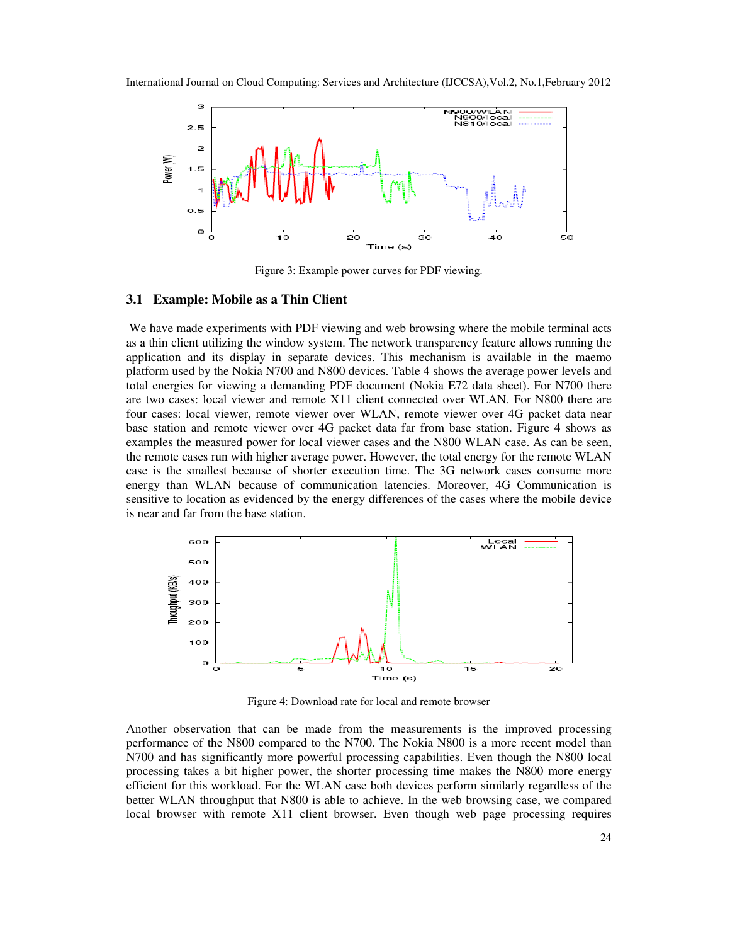

Figure 3: Example power curves for PDF viewing.

#### **3.1 Example: Mobile as a Thin Client**

We have made experiments with PDF viewing and web browsing where the mobile terminal acts as a thin client utilizing the window system. The network transparency feature allows running the application and its display in separate devices. This mechanism is available in the maemo platform used by the Nokia N700 and N800 devices. Table 4 shows the average power levels and total energies for viewing a demanding PDF document (Nokia E72 data sheet). For N700 there are two cases: local viewer and remote X11 client connected over WLAN. For N800 there are four cases: local viewer, remote viewer over WLAN, remote viewer over 4G packet data near base station and remote viewer over 4G packet data far from base station. Figure 4 shows as examples the measured power for local viewer cases and the N800 WLAN case. As can be seen, the remote cases run with higher average power. However, the total energy for the remote WLAN case is the smallest because of shorter execution time. The 3G network cases consume more energy than WLAN because of communication latencies. Moreover, 4G Communication is sensitive to location as evidenced by the energy differences of the cases where the mobile device is near and far from the base station.



Figure 4: Download rate for local and remote browser

Another observation that can be made from the measurements is the improved processing performance of the N800 compared to the N700. The Nokia N800 is a more recent model than N700 and has significantly more powerful processing capabilities. Even though the N800 local processing takes a bit higher power, the shorter processing time makes the N800 more energy efficient for this workload. For the WLAN case both devices perform similarly regardless of the better WLAN throughput that N800 is able to achieve. In the web browsing case, we compared local browser with remote X11 client browser. Even though web page processing requires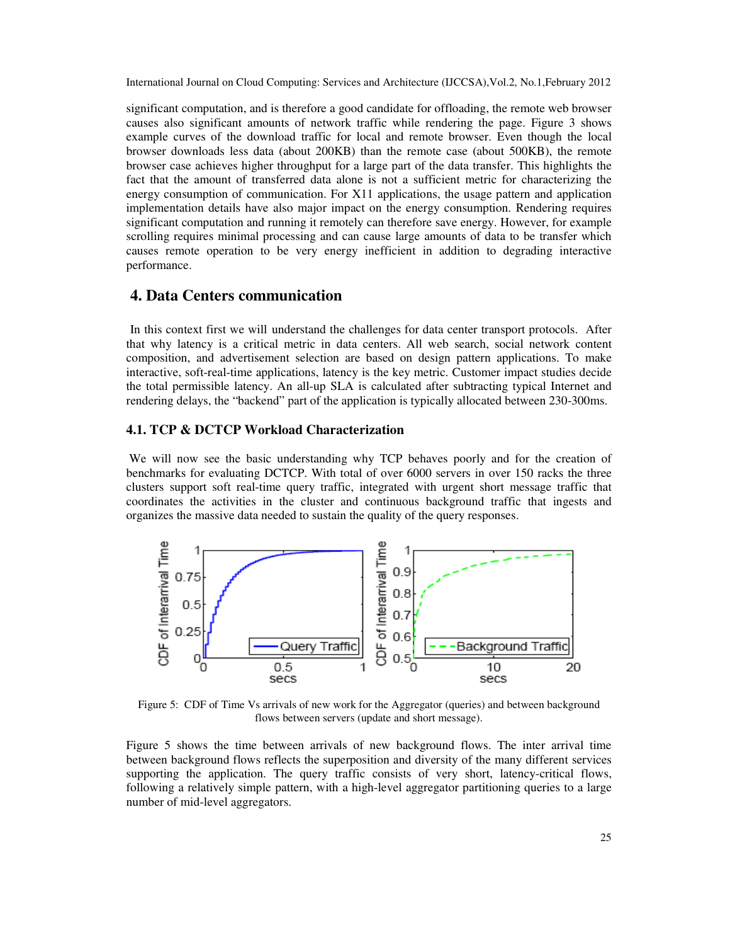significant computation, and is therefore a good candidate for offloading, the remote web browser causes also significant amounts of network traffic while rendering the page. Figure 3 shows example curves of the download traffic for local and remote browser. Even though the local browser downloads less data (about 200KB) than the remote case (about 500KB), the remote browser case achieves higher throughput for a large part of the data transfer. This highlights the fact that the amount of transferred data alone is not a sufficient metric for characterizing the energy consumption of communication. For X11 applications, the usage pattern and application implementation details have also major impact on the energy consumption. Rendering requires significant computation and running it remotely can therefore save energy. However, for example scrolling requires minimal processing and can cause large amounts of data to be transfer which causes remote operation to be very energy inefficient in addition to degrading interactive performance.

# **4. Data Centers communication**

In this context first we will understand the challenges for data center transport protocols. After that why latency is a critical metric in data centers. All web search, social network content composition, and advertisement selection are based on design pattern applications. To make interactive, soft-real-time applications, latency is the key metric. Customer impact studies decide the total permissible latency. An all-up SLA is calculated after subtracting typical Internet and rendering delays, the "backend" part of the application is typically allocated between 230-300ms.

# **4.1. TCP & DCTCP Workload Characterization**

We will now see the basic understanding why TCP behaves poorly and for the creation of benchmarks for evaluating DCTCP. With total of over 6000 servers in over 150 racks the three clusters support soft real-time query traffic, integrated with urgent short message traffic that coordinates the activities in the cluster and continuous background traffic that ingests and organizes the massive data needed to sustain the quality of the query responses.



Figure 5: CDF of Time Vs arrivals of new work for the Aggregator (queries) and between background flows between servers (update and short message).

Figure 5 shows the time between arrivals of new background flows. The inter arrival time between background flows reflects the superposition and diversity of the many different services supporting the application. The query traffic consists of very short, latency-critical flows, following a relatively simple pattern, with a high-level aggregator partitioning queries to a large number of mid-level aggregators.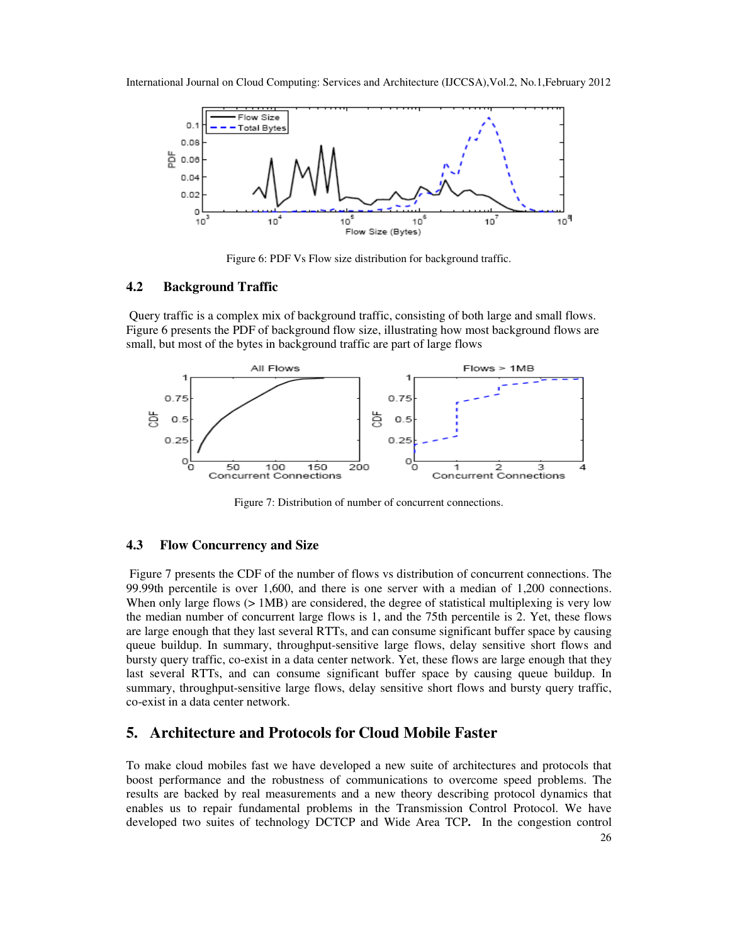

Figure 6: PDF Vs Flow size distribution for background traffic.

#### **4.2 Background Traffic**

Query traffic is a complex mix of background traffic, consisting of both large and small flows. Figure 6 presents the PDF of background flow size, illustrating how most background flows are small, but most of the bytes in background traffic are part of large flows



Figure 7: Distribution of number of concurrent connections.

#### **4.3 Flow Concurrency and Size**

Figure 7 presents the CDF of the number of flows vs distribution of concurrent connections. The 99.99th percentile is over 1,600, and there is one server with a median of 1,200 connections. When only large flows ( $> 1MB$ ) are considered, the degree of statistical multiplexing is very low the median number of concurrent large flows is 1, and the 75th percentile is 2. Yet, these flows are large enough that they last several RTTs, and can consume significant buffer space by causing queue buildup. In summary, throughput-sensitive large flows, delay sensitive short flows and bursty query traffic, co-exist in a data center network. Yet, these flows are large enough that they last several RTTs, and can consume significant buffer space by causing queue buildup. In summary, throughput-sensitive large flows, delay sensitive short flows and bursty query traffic, co-exist in a data center network.

# **5. Architecture and Protocols for Cloud Mobile Faster**

To make cloud mobiles fast we have developed a new suite of architectures and protocols that boost performance and the robustness of communications to overcome speed problems. The results are backed by real measurements and a new theory describing protocol dynamics that enables us to repair fundamental problems in the Transmission Control Protocol. We have developed two suites of technology DCTCP and Wide Area TCP**.** In the congestion control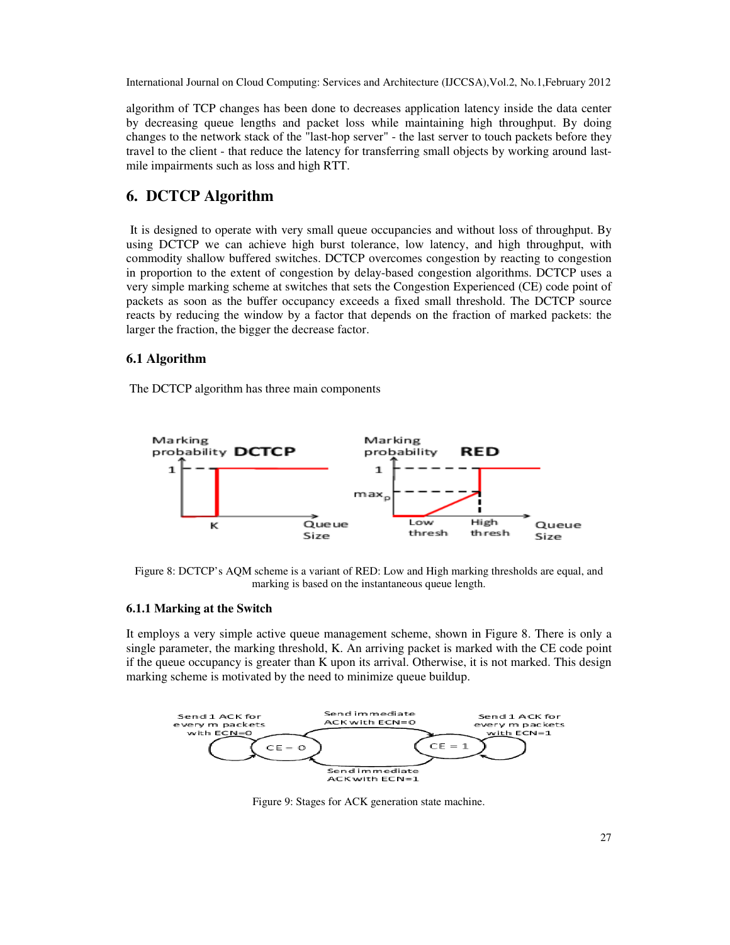algorithm of TCP changes has been done to decreases application latency inside the data center by decreasing queue lengths and packet loss while maintaining high throughput. By doing changes to the network stack of the "last-hop server" - the last server to touch packets before they travel to the client - that reduce the latency for transferring small objects by working around lastmile impairments such as loss and high RTT.

# **6. DCTCP Algorithm**

It is designed to operate with very small queue occupancies and without loss of throughput. By using DCTCP we can achieve high burst tolerance, low latency, and high throughput, with commodity shallow buffered switches. DCTCP overcomes congestion by reacting to congestion in proportion to the extent of congestion by delay-based congestion algorithms. DCTCP uses a very simple marking scheme at switches that sets the Congestion Experienced (CE) code point of packets as soon as the buffer occupancy exceeds a fixed small threshold. The DCTCP source reacts by reducing the window by a factor that depends on the fraction of marked packets: the larger the fraction, the bigger the decrease factor.

#### **6.1 Algorithm**

The DCTCP algorithm has three main components



Figure 8: DCTCP's AQM scheme is a variant of RED: Low and High marking thresholds are equal, and marking is based on the instantaneous queue length.

#### **6.1.1 Marking at the Switch**

It employs a very simple active queue management scheme, shown in Figure 8. There is only a single parameter, the marking threshold, K. An arriving packet is marked with the CE code point if the queue occupancy is greater than K upon its arrival. Otherwise, it is not marked. This design marking scheme is motivated by the need to minimize queue buildup.



Figure 9: Stages for ACK generation state machine.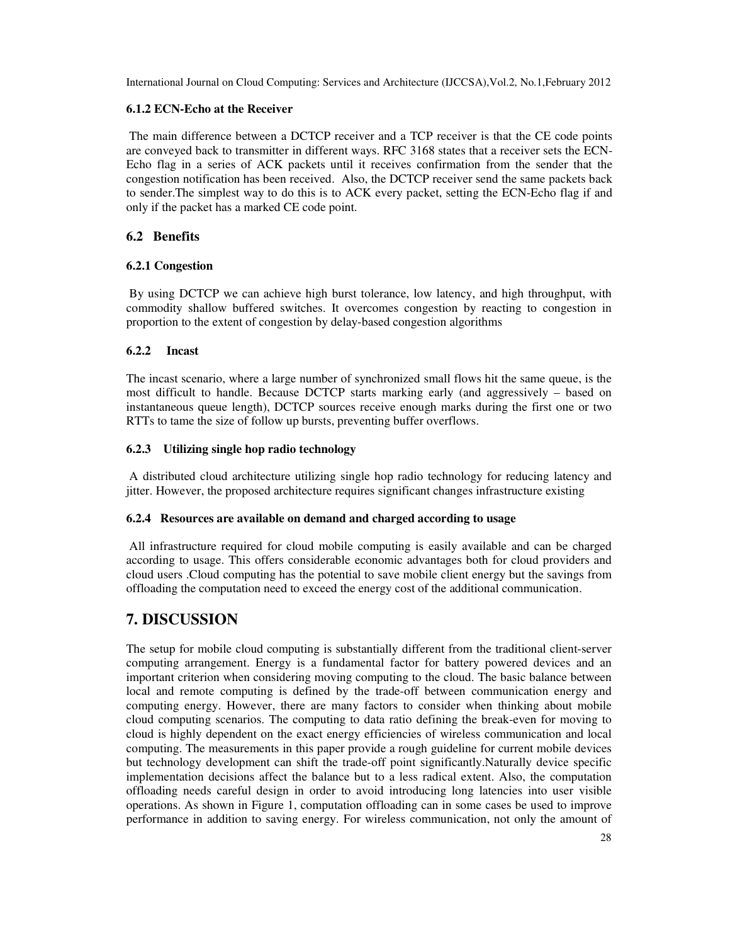## **6.1.2 ECN-Echo at the Receiver**

The main difference between a DCTCP receiver and a TCP receiver is that the CE code points are conveyed back to transmitter in different ways. RFC 3168 states that a receiver sets the ECN-Echo flag in a series of ACK packets until it receives confirmation from the sender that the congestion notification has been received. Also, the DCTCP receiver send the same packets back to sender.The simplest way to do this is to ACK every packet, setting the ECN-Echo flag if and only if the packet has a marked CE code point.

# **6.2 Benefits**

## **6.2.1 Congestion**

By using DCTCP we can achieve high burst tolerance, low latency, and high throughput, with commodity shallow buffered switches. It overcomes congestion by reacting to congestion in proportion to the extent of congestion by delay-based congestion algorithms

# **6.2.2 Incast**

The incast scenario, where a large number of synchronized small flows hit the same queue, is the most difficult to handle. Because DCTCP starts marking early (and aggressively – based on instantaneous queue length), DCTCP sources receive enough marks during the first one or two RTTs to tame the size of follow up bursts, preventing buffer overflows.

## **6.2.3 Utilizing single hop radio technology**

A distributed cloud architecture utilizing single hop radio technology for reducing latency and jitter. However, the proposed architecture requires significant changes infrastructure existing

#### **6.2.4 Resources are available on demand and charged according to usage**

All infrastructure required for cloud mobile computing is easily available and can be charged according to usage. This offers considerable economic advantages both for cloud providers and cloud users .Cloud computing has the potential to save mobile client energy but the savings from offloading the computation need to exceed the energy cost of the additional communication.

# **7. DISCUSSION**

The setup for mobile cloud computing is substantially different from the traditional client-server computing arrangement. Energy is a fundamental factor for battery powered devices and an important criterion when considering moving computing to the cloud. The basic balance between local and remote computing is defined by the trade-off between communication energy and computing energy. However, there are many factors to consider when thinking about mobile cloud computing scenarios. The computing to data ratio defining the break-even for moving to cloud is highly dependent on the exact energy efficiencies of wireless communication and local computing. The measurements in this paper provide a rough guideline for current mobile devices but technology development can shift the trade-off point significantly.Naturally device specific implementation decisions affect the balance but to a less radical extent. Also, the computation offloading needs careful design in order to avoid introducing long latencies into user visible operations. As shown in Figure 1, computation offloading can in some cases be used to improve performance in addition to saving energy. For wireless communication, not only the amount of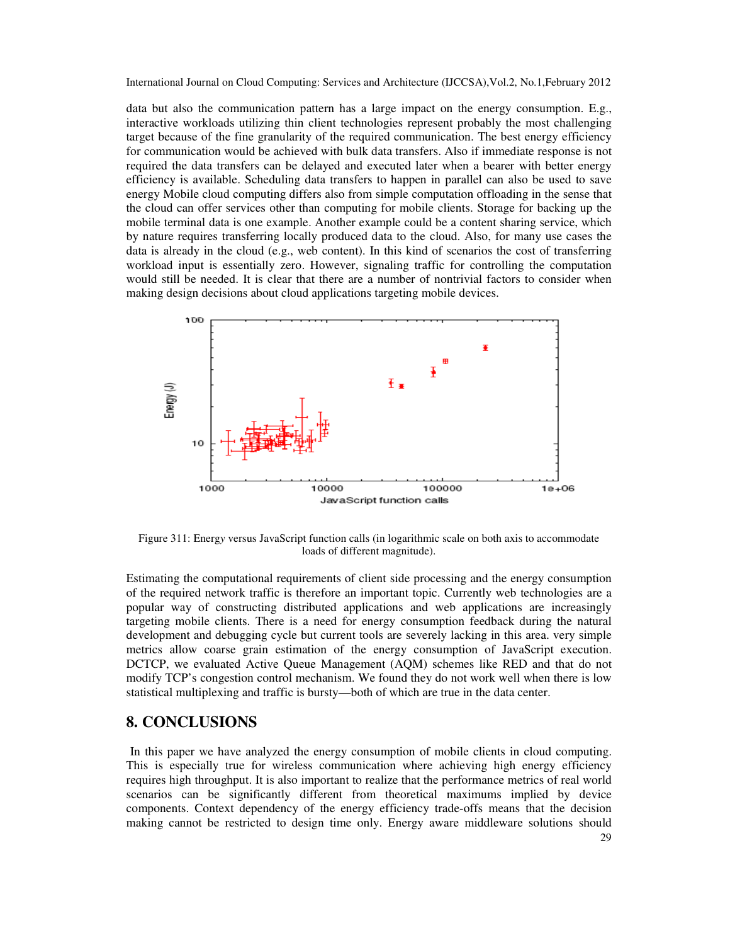data but also the communication pattern has a large impact on the energy consumption. E.g., interactive workloads utilizing thin client technologies represent probably the most challenging target because of the fine granularity of the required communication. The best energy efficiency for communication would be achieved with bulk data transfers. Also if immediate response is not required the data transfers can be delayed and executed later when a bearer with better energy efficiency is available. Scheduling data transfers to happen in parallel can also be used to save energy Mobile cloud computing differs also from simple computation offloading in the sense that the cloud can offer services other than computing for mobile clients. Storage for backing up the mobile terminal data is one example. Another example could be a content sharing service, which by nature requires transferring locally produced data to the cloud. Also, for many use cases the data is already in the cloud (e.g., web content). In this kind of scenarios the cost of transferring workload input is essentially zero. However, signaling traffic for controlling the computation would still be needed. It is clear that there are a number of nontrivial factors to consider when making design decisions about cloud applications targeting mobile devices.



Figure 311: Energ*y* versus JavaScript function calls (in logarithmic scale on both axis to accommodate loads of different magnitude).

Estimating the computational requirements of client side processing and the energy consumption of the required network traffic is therefore an important topic. Currently web technologies are a popular way of constructing distributed applications and web applications are increasingly targeting mobile clients. There is a need for energy consumption feedback during the natural development and debugging cycle but current tools are severely lacking in this area. very simple metrics allow coarse grain estimation of the energy consumption of JavaScript execution. DCTCP, we evaluated Active Queue Management (AQM) schemes like RED and that do not modify TCP's congestion control mechanism. We found they do not work well when there is low statistical multiplexing and traffic is bursty—both of which are true in the data center.

# **8. CONCLUSIONS**

In this paper we have analyzed the energy consumption of mobile clients in cloud computing. This is especially true for wireless communication where achieving high energy efficiency requires high throughput. It is also important to realize that the performance metrics of real world scenarios can be significantly different from theoretical maximums implied by device components. Context dependency of the energy efficiency trade-offs means that the decision making cannot be restricted to design time only. Energy aware middleware solutions should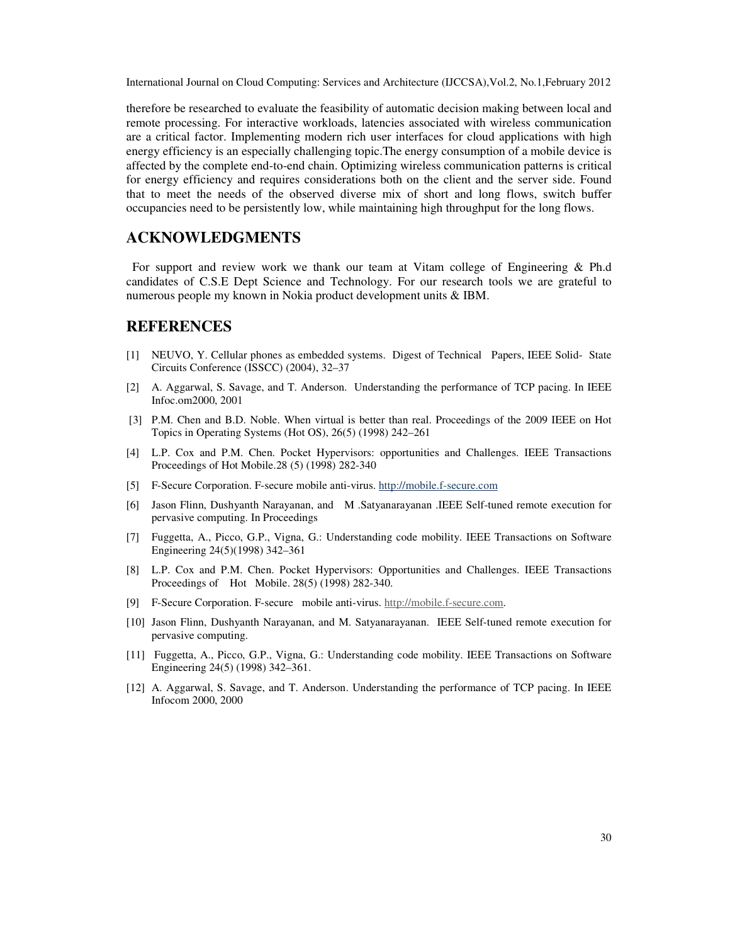therefore be researched to evaluate the feasibility of automatic decision making between local and remote processing. For interactive workloads, latencies associated with wireless communication are a critical factor. Implementing modern rich user interfaces for cloud applications with high energy efficiency is an especially challenging topic.The energy consumption of a mobile device is affected by the complete end-to-end chain. Optimizing wireless communication patterns is critical for energy efficiency and requires considerations both on the client and the server side. Found that to meet the needs of the observed diverse mix of short and long flows, switch buffer occupancies need to be persistently low, while maintaining high throughput for the long flows.

# **ACKNOWLEDGMENTS**

For support and review work we thank our team at Vitam college of Engineering & Ph.d candidates of C.S.E Dept Science and Technology. For our research tools we are grateful to numerous people my known in Nokia product development units & IBM.

#### **REFERENCES**

- [1] NEUVO, Y. Cellular phones as embedded systems. Digest of Technical Papers, IEEE Solid- State Circuits Conference (ISSCC) (2004), 32–37
- [2] A. Aggarwal, S. Savage, and T. Anderson. Understanding the performance of TCP pacing. In IEEE Infoc.om2000, 2001
- [3] P.M. Chen and B.D. Noble. When virtual is better than real. Proceedings of the 2009 IEEE on Hot Topics in Operating Systems (Hot OS), 26(5) (1998) 242–261
- [4] L.P. Cox and P.M. Chen. Pocket Hypervisors: opportunities and Challenges. IEEE Transactions Proceedings of Hot Mobile.28 (5) (1998) 282-340
- [5] F-Secure Corporation. F-secure mobile anti-virus. http://mobile.f-secure.com
- [6] Jason Flinn, Dushyanth Narayanan, and M .Satyanarayanan .IEEE Self-tuned remote execution for pervasive computing. In Proceedings
- [7] Fuggetta, A., Picco, G.P., Vigna, G.: Understanding code mobility. IEEE Transactions on Software Engineering 24(5)(1998) 342–361
- [8] L.P. Cox and P.M. Chen. Pocket Hypervisors: Opportunities and Challenges. IEEE Transactions Proceedings of Hot Mobile. 28(5) (1998) 282-340.
- [9] F-Secure Corporation. F-secure mobile anti-virus. http://mobile.f-secure.com.
- [10] Jason Flinn, Dushyanth Narayanan, and M. Satyanarayanan. IEEE Self-tuned remote execution for pervasive computing.
- [11] Fuggetta, A., Picco, G.P., Vigna, G.: Understanding code mobility. IEEE Transactions on Software Engineering 24(5) (1998) 342–361.
- [12] A. Aggarwal, S. Savage, and T. Anderson. Understanding the performance of TCP pacing. In IEEE Infocom 2000, 2000